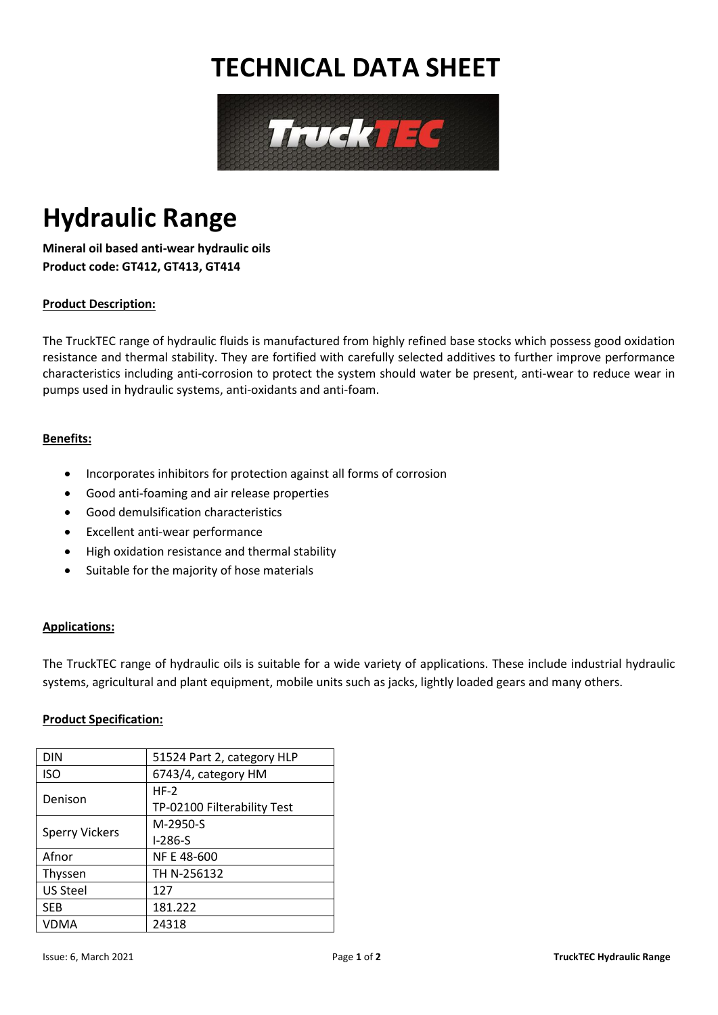## **TECHNICAL DATA SHEET**



# **Hydraulic Range**

**Mineral oil based anti-wear hydraulic oils Product code: GT412, GT413, GT414**

### **Product Description:**

The TruckTEC range of hydraulic fluids is manufactured from highly refined base stocks which possess good oxidation resistance and thermal stability. They are fortified with carefully selected additives to further improve performance characteristics including anti-corrosion to protect the system should water be present, anti-wear to reduce wear in pumps used in hydraulic systems, anti-oxidants and anti-foam.

#### **Benefits:**

- Incorporates inhibitors for protection against all forms of corrosion
- Good anti-foaming and air release properties
- Good demulsification characteristics
- Excellent anti-wear performance
- High oxidation resistance and thermal stability
- Suitable for the majority of hose materials

#### **Applications:**

The TruckTEC range of hydraulic oils is suitable for a wide variety of applications. These include industrial hydraulic systems, agricultural and plant equipment, mobile units such as jacks, lightly loaded gears and many others.

#### **Product Specification:**

| <b>DIN</b>            | 51524 Part 2, category HLP  |  |  |
|-----------------------|-----------------------------|--|--|
| <b>ISO</b>            | 6743/4, category HM         |  |  |
| Denison               | $HF-2$                      |  |  |
|                       | TP-02100 Filterability Test |  |  |
| <b>Sperry Vickers</b> | M-2950-S                    |  |  |
|                       | $I-286-S$                   |  |  |
| Afnor                 | NF E 48-600                 |  |  |
| Thyssen               | TH N-256132                 |  |  |
| <b>US Steel</b>       | 127                         |  |  |
| <b>SEB</b>            | 181.222                     |  |  |
| VDMA                  | 24318                       |  |  |